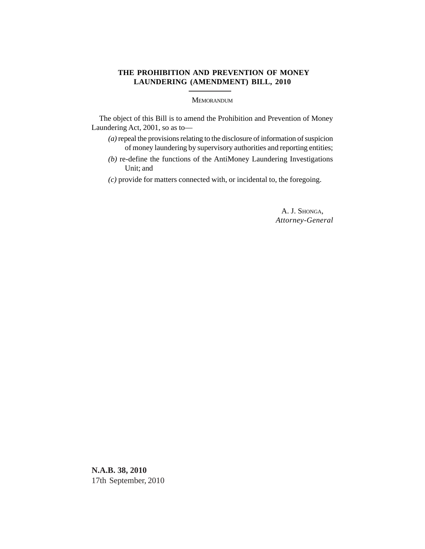## **THE PROHIBITION AND PREVENTION OF MONEY LAUNDERING (AMENDMENT) BILL, 2010**

## MEMORANDUM

The object of this Bill is to amend the Prohibition and Prevention of Money Laundering Act, 2001, so as to—

- *(a)* repeal the provisions relating to the disclosure of information of suspicion of money laundering by supervisory authorities and reporting entities;
- *(b)* re-define the functions of the AntiMoney Laundering Investigations Unit; and
- *(c)* provide for matters connected with, or incidental to, the foregoing.

A. J. SHONGA, *Attorney-General*

**N.A.B. 38, 2010** 17th September, 2010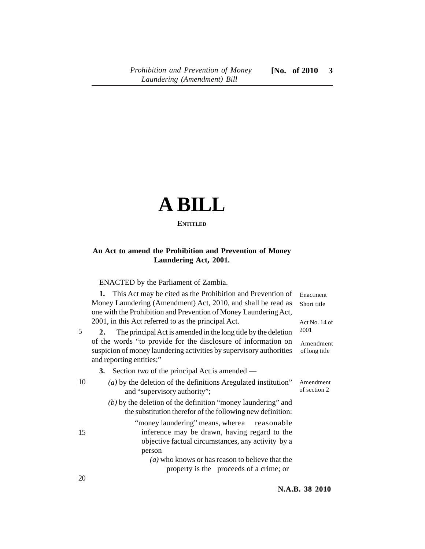## **A BILL ENTITLED**

## **An Act to amend the Prohibition and Prevention of Money Laundering Act, 2001.**

ENACTED by the Parliament of Zambia.

|    | 1. This Act may be cited as the Prohibition and Prevention of                                                                                                    | Enactment                  |
|----|------------------------------------------------------------------------------------------------------------------------------------------------------------------|----------------------------|
|    | Money Laundering (Amendment) Act, 2010, and shall be read as<br>one with the Prohibition and Prevention of Money Laundering Act,                                 | Short title                |
|    | 2001, in this Act referred to as the principal Act.                                                                                                              | Act No. 14 of              |
| 5  | The principal Act is amended in the long title by the deletion<br>2.                                                                                             | 2001                       |
|    | of the words "to provide for the disclosure of information on<br>suspicion of money laundering activities by supervisory authorities<br>and reporting entities;" | Amendment<br>of long title |
|    | 3. Section two of the principal Act is amended —                                                                                                                 |                            |
| 10 | $(a)$ by the deletion of the definitions Aregulated institution"<br>and "supervisory authority";                                                                 | Amendment<br>of section 2  |
|    | $(b)$ by the deletion of the definition "money laundering" and<br>the substitution therefor of the following new definition:                                     |                            |
| 15 | "money laundering" means, where a reasonable<br>inference may be drawn, having regard to the                                                                     |                            |
|    | objective factual circumstances, any activity by a<br>person                                                                                                     |                            |
|    | $(a)$ who knows or has reason to believe that the<br>property is the proceeds of a crime; or                                                                     |                            |
| 20 |                                                                                                                                                                  |                            |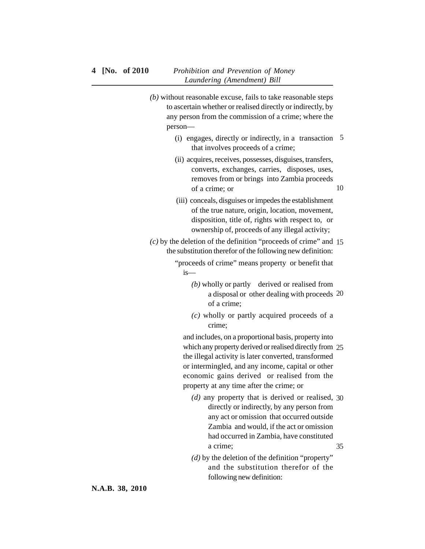- *(b)* without reasonable excuse, fails to take reasonable steps to ascertain whether or realised directly or indirectly, by any person from the commission of a crime; where the person—
	- (i) engages, directly or indirectly, in a transaction 5 that involves proceeds of a crime;
	- (ii) acquires, receives, possesses, disguises, transfers, converts, exchanges, carries, disposes, uses, removes from or brings into Zambia proceeds of a crime; or 10
	- (iii) conceals, disguises or impedes the establishment of the true nature, origin, location, movement, disposition, title of, rights with respect to, or ownership of, proceeds of any illegal activity;

*(c)* by the deletion of the definition "proceeds of crime" and 15 the substitution therefor of the following new definition: "proceeds of crime" means property or benefit that

- is—
	- *(b)* wholly or partly derived or realised from a disposal or other dealing with proceeds 20 of a crime;
	- *(c)* wholly or partly acquired proceeds of a crime;

and includes, on a proportional basis, property into which any property derived or realised directly from 25 the illegal activity is later converted, transformed or intermingled, and any income, capital or other economic gains derived or realised from the property at any time after the crime; or

- *(d)* any property that is derived or realised, 30 directly or indirectly, by any person from any act or omission that occurred outside Zambia and would, if the act or omission had occurred in Zambia, have constituted a crime; 35
- *(d)* by the deletion of the definition "property" and the substitution therefor of the following new definition: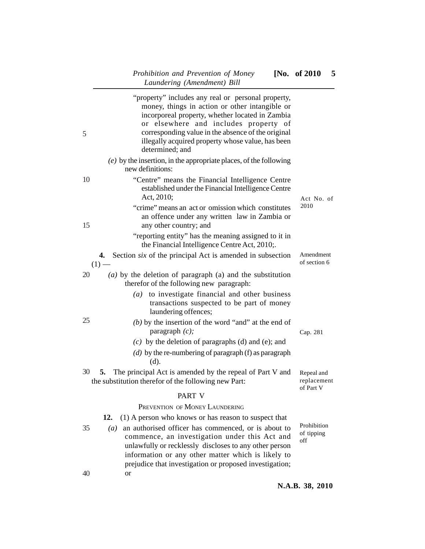| "property" includes any real or personal property,<br>money, things in action or other intangible or<br>incorporeal property, whether located in Zambia<br>or elsewhere and includes property of<br>corresponding value in the absence of the original<br>5<br>illegally acquired property whose value, has been<br>determined; and |                                        |
|-------------------------------------------------------------------------------------------------------------------------------------------------------------------------------------------------------------------------------------------------------------------------------------------------------------------------------------|----------------------------------------|
| $(e)$ by the insertion, in the appropriate places, of the following<br>new definitions:                                                                                                                                                                                                                                             |                                        |
| 10<br>"Centre" means the Financial Intelligence Centre<br>established under the Financial Intelligence Centre<br>Act, 2010;                                                                                                                                                                                                         | Act No. of                             |
| "crime" means an act or omission which constitutes<br>an offence under any written law in Zambia or<br>any other country; and<br>15                                                                                                                                                                                                 | 2010                                   |
| "reporting entity" has the meaning assigned to it in<br>the Financial Intelligence Centre Act, 2010;.                                                                                                                                                                                                                               |                                        |
| 4. Section <i>six</i> of the principal Act is amended in subsection<br>(1)                                                                                                                                                                                                                                                          | Amendment<br>of section 6              |
| (a) by the deletion of paragraph (a) and the substitution<br>20<br>therefor of the following new paragraph:                                                                                                                                                                                                                         |                                        |
| to investigate financial and other business<br>(a)<br>transactions suspected to be part of money<br>laundering offences;                                                                                                                                                                                                            |                                        |
| 25<br>$(b)$ by the insertion of the word "and" at the end of<br>paragraph $(c)$ ;                                                                                                                                                                                                                                                   | Cap. 281                               |
| $(c)$ by the deletion of paragraphs (d) and (e); and                                                                                                                                                                                                                                                                                |                                        |
| (d) by the re-numbering of paragraph (f) as paragraph<br>(d).                                                                                                                                                                                                                                                                       |                                        |
| 30<br>The principal Act is amended by the repeal of Part V and<br>5.<br>the substitution therefor of the following new Part:                                                                                                                                                                                                        | Repeal and<br>replacement<br>of Part V |
| PART V                                                                                                                                                                                                                                                                                                                              |                                        |
| PREVENTION OF MONEY LAUNDERING                                                                                                                                                                                                                                                                                                      |                                        |
| (1) A person who knows or has reason to suspect that<br>12.                                                                                                                                                                                                                                                                         |                                        |
| an authorised officer has commenced, or is about to<br>35<br>$\left(a\right)$<br>commence, an investigation under this Act and<br>unlawfully or recklessly discloses to any other person<br>information or any other matter which is likely to<br>prejudice that investigation or proposed investigation;                           | Prohibition<br>of tipping<br>off       |
| 40<br><sub>or</sub>                                                                                                                                                                                                                                                                                                                 |                                        |

**N.A.B. 38, 2010**